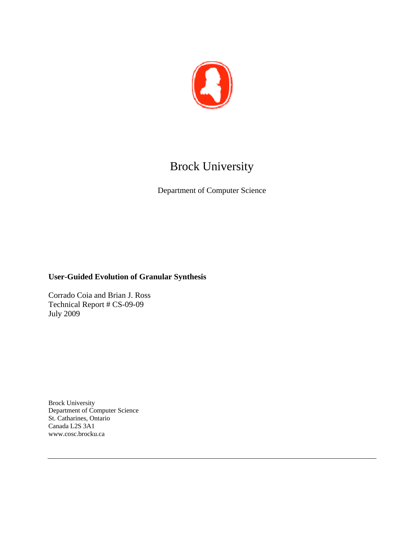

# Brock University

Department of Computer Science

### **User-Guided Evolution of Granular Synthesis**

Corrado Coia and Brian J. Ross Technical Report # CS-09-09 July 2009

Brock University Department of Computer Science St. Catharines, Ontario Canada L2S 3A1 www.cosc.brocku.ca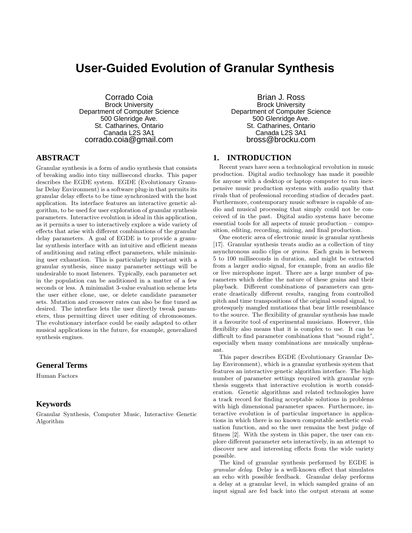## **User-Guided Evolution of Granular Synthesis**

Corrado Coia Brock University Department of Computer Science 500 Glenridge Ave. St. Catharines, Ontario Canada L2S 3A1 corrado.coia@gmail.com

#### **ABSTRACT**

Granular synthesis is a form of audio synthesis that consists of breaking audio into tiny millisecond chucks. This paper describes the EGDE system. EGDE (Evolutionary Granular Delay Environment) is a software plug-in that permits its granular delay effects to be time synchronized with the host application. Its interface features an interactive genetic algorithm, to be used for user exploration of granular synthesis parameters. Interactive evolution is ideal in this application, as it permits a user to interactively explore a wide variety of effects that arise with different combinations of the granular delay parameters. A goal of EGDE is to provide a granular synthesis interface with an intuitive and efficient means of auditioning and rating effect parameters, while minimizing user exhaustion. This is particularly important with a granular synthesis, since many parameter settings will be undesirable to most listeners. Typically, each parameter set in the population can be auditioned in a matter of a few seconds or less. A minimalist 3-value evaluation scheme lets the user either clone, use, or delete candidate parameter sets. Mutation and crossover rates can also be fine tuned as desired. The interface lets the user directly tweak parameters, thus permitting direct user editing of chromosomes. The evolutionary interface could be easily adapted to other musical applications in the future, for example, generalized synthesis engines.

#### **General Terms**

Human Factors

#### **Keywords**

Granular Synthesis, Computer Music, Interactive Genetic Algorithm

Brian J. Ross Brock University Department of Computer Science 500 Glenridge Ave. St. Catharines, Ontario Canada L2S 3A1 bross@brocku.com

#### **1. INTRODUCTION**

Recent years have seen a technological revolution in music production. Digital audio technology has made it possible for anyone with a desktop or laptop computer to run inexpensive music production systems with audio quality that rivals that of professional recording studios of decades past. Furthermore, contemporary music software is capable of audio and musical processing that simply could not be conceived of in the past. Digital audio systems have become essential tools for all aspects of music production – composition, editing, recording, mixing, and final production.

One esoteric area of electronic music is granular synthesis [17]. Granular synthesis treats audio as a collection of tiny asynchronous audio clips or grains. Each grain is between 5 to 100 milliseconds in duration, and might be extracted from a larger audio signal, for example, from an audio file or live microphone input. There are a large number of parameters which define the nature of these grains and their playback. Different combinations of parameters can generate drastically different results, ranging from controlled pitch and time transpositions of the original sound signal, to grotesquely mangled mutations that bear little resemblance to the source. The flexibility of granular synthesis has made it a favourite tool of experimental musicians. However, this flexibility also means that it is complex to use. It can be difficult to find parameter combinations that "sound right", especially when many combinations are musically unpleasant.

This paper describes EGDE (Evolutionary Granular Delay Environment), which is a granular synthesis system that features an interactive genetic algorithm interface. The high number of parameter settings required with granular synthesis suggests that interactive evolution is worth consideration. Genetic algorithms and related technologies have a track record for finding acceptable solutions in problems with high dimensional parameter spaces. Furthermore, interactive evolution is of particular importance in applications in which there is no known computable aesthetic evaluation function, and so the user remains the best judge of fitness [2]. With the system in this paper, the user can explore different parameter sets interactively, in an attempt to discover new and interesting effects from the wide variety possible.

The kind of granular synthesis performed by EGDE is granular delay. Delay is a well-known effect that simulates an echo with possible feedback. Granular delay performs a delay at a granular level, in which sampled grains of an input signal are fed back into the output stream at some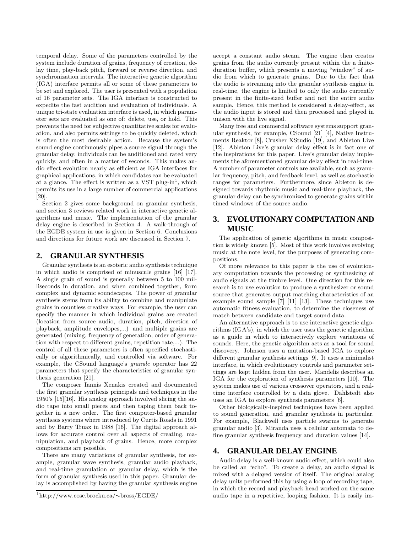temporal delay. Some of the parameters controlled by the system include duration of grains, frequency of creation, delay time, play-back pitch, forward or reverse direction, and synchronization intervals. The interactive genetic algorithm (IGA) interface permits all or some of these parameters to be set and explored. The user is presented with a population of 16 parameter sets. The IGA interface is constructed to expedite the fast audition and evaluation of individuals. A unique tri-state evaluation interface is used, in which parameter sets are evaluated as one of: delete, use, or hold. This prevents the need for subjective quantitative scales for evaluation, and also permits settings to be quickly deleted, which is often the most desirable action. Because the system's sound engine continuously pipes a source signal through the granular delay, individuals can be auditioned and rated very quickly, and often in a matter of seconds. This makes audio effect evolution nearly as efficient as IGA interfaces for graphical applications, in which candidates can be evaluated at a glance. The effect is written as a VST plug-in<sup>1</sup>, which permits its use in a large number of commercial applications [20].

Section 2 gives some background on granular synthesis, and section 3 reviews related work in interactive genetic algorithms and music. The implementation of the granular delay engine is described in Section 4. A walk-through of the EGDE system in use is given in Section 6. Conclusions and directions for future work are discussed in Section 7.

#### **2. GRANULAR SYNTHESIS**

Granular synthesis is an esoteric audio synthesis technique in which audio is comprised of minuscule grains [16] [17]. A single grain of sound is generally between 5 to 100 milliseconds in duration, and when combined together, form complex and dynamic soundscapes. The power of granular synthesis stems from its ability to combine and manipulate grains in countless creative ways. For example, the user can specify the manner in which individual grains are created (location from source audio, duration, pitch, direction of playback, amplitude envelopes,...) and multiple grains are generated (mixing, frequency of generation, order of generation with respect to different grains, repetition rate,...). The control of all these parameters is often specified stochastically or algorithmically, and controlled via software. For example, the CSound language's granule operator has 22 parameters that specify the characteristics of granular synthesis generation [21].

The composer Iannis Xenakis created and documented the first granular synthesis principals and techniques in the 1950's [15][16]. His analog approach involved slicing the audio tape into small pieces and then taping them back together in a new order. The first computer-based granular synthesis systems where introduced by Curtis Roads in 1991 and by Barry Truax in 1988 [16]. The digital approach allows for accurate control over all aspects of creating, manipulation, and playback of grains. Hence, more complex compositions are possible.

There are many variations of granular synthesis, for example, granular wave synthesis, granular audio playback, and real-time granulation or granular delay, which is the form of granular synthesis used in this paper. Granular delay is accomplished by having the granular synthesis engine accept a constant audio steam. The engine then creates grains from the audio currently present within the a finiteduration buffer, which presents a moving "window" of audio from which to generate grains. Due to the fact that the audio is streaming into the granular synthesis engine in real-time, the engine is limited to only the audio currently present in the finite-sized buffer and not the entire audio sample. Hence, this method is considered a delay-effect, as the audio input is stored and then processed and played in unison with the live signal.

Many free and commercial software systems support granular synthesis, for example, CSound [21] [4], Native Instruments Reaktor [8], Crusher XStudio [19], and Ableton Live [12]. Ableton Live's granular delay effect is in fact one of the inspirations for this paper. Live's granular delay implements the aforementioned granular delay effect in real-time. A number of parameter controls are available, such as granular frequency, pitch, and feedback level, as well as stochastic ranges for parameters. Furthermore, since Ableton is designed towards rhythmic music and real-time playback, the granular delay can be synchronized to generate grains within timed windows of the source audio.

#### **3. EVOLUTIONARY COMPUTATION AND MUSIC**

The application of genetic algorithms in music composition is widely known [5]. Most of this work involves evolving music at the note level, for the purposes of generating compositions.

Of more relevance to this paper is the use of evolutionary computation towards the processing or synthesizing of audio signals at the timbre level. One direction for this research is to use evolution to produce a synthesizer or sound source that generates output matching characteristics of an example sound sample [7] [11] [13]. These techniques use automatic fitness evaluation, to determine the closeness of match between candidate and target sound data.

An alternative approach is to use interactive genetic algorithms (IGA's), in which the user uses the genetic algorithm as a guide in which to interactively explore variations of sounds. Here, the genetic algorithm acts as a tool for sound discovery. Johnson uses a mutation-based IGA to explore different granular synthesis settings [9]. It uses a minimalist interface, in which evolutionary controls and parameter settings are kept hidden from the user. Mandelis describes an IGA for the exploration of synthesis parameters [10]. The system makes use of various crossover operators, and a realtime interface controlled by a data glove. Dahlstedt also uses an IGA to explore synthesis parameters [6].

Other biologically-inspired techniques have been applied to sound generation, and granular synthesis in particular. For example, Blackwell uses particle swarms to generate granular audio [3]. Miranda uses a cellular automata to define granular synthesis frequency and duration values [14].

#### **4. GRANULAR DELAY ENGINE**

Audio delay is a well-known audio effect, which could also be called an "echo". To create a delay, an audio signal is mixed with a delayed version of itself. The original analog delay units performed this by using a loop of recording tape, in which the record and playback head worked on the same audio tape in a repetitive, looping fashion. It is easily im-

<sup>1</sup>http://www.cosc.brocku.ca/∼bross/EGDE/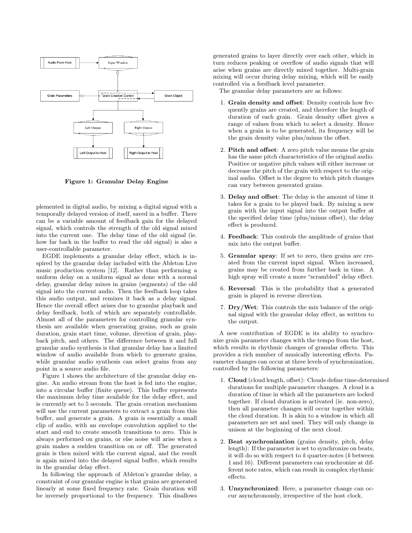

Figure 1: Granular Delay Engine

plemented in digital audio, by mixing a digital signal with a temporally delayed version of itself, saved in a buffer. There can be a variable amount of feedback gain for the delayed signal, which controls the strength of the old signal mixed into the current one. The delay time of the old signal (ie. how far back in the buffer to read the old signal) is also a user-controllable parameter.

EGDE implements a granular delay effect, which is inspired by the granular delay included with the Ableton Live music production system [12]. Rather than performing a uniform delay on a uniform signal as done with a normal delay, granular delay mixes in grains (segments) of the old signal into the current audio. Then the feedback loop takes this audio output, and remixes it back as a delay signal. Hence the overall effect arises due to granular playback and delay feedback, both of which are separately controllable. Almost all of the parameters for controlling granular synthesis are available when generating grains, such as grain duration, grain start time, volume, direction of grain, playback pitch, and others. The difference between it and full granular audio synthesis is that granular delay has a limited window of audio available from which to generate grains, while granular audio synthesis can select grains from any point in a source audio file.

Figure 1 shows the architecture of the granular delay engine. An audio stream from the host is fed into the engine, into a circular buffer (finite queue). This buffer represents the maximum delay time available for the delay effect, and is currently set to 5 seconds. The grain creation mechanism will use the current parameters to extract a grain from this buffer, and generate a grain. A grain is essentially a small clip of audio, with an envelope convolution applied to the start and end to create smooth transitions to zero. This is always performed on grains, or else noise will arise when a grain makes a sudden transition on or off. The generated grain is then mixed with the current signal, and the result is again mixed into the delayed signal buffer, which results in the granular delay effect.

In following the approach of Ableton's granular delay, a constraint of our granular engine is that grains are generated linearly at some fixed frequency rate. Grain duration will be inversely proportional to the frequency. This disallows

generated grains to layer directly over each other, which in turn reduces peaking or overflow of audio signals that will arise when grains are directly mixed together. Multi-grain mixing will occur during delay mixing, which will be easily controlled via a feedback level parameter.

The granular delay parameters are as follows:

- 1. Grain density and offset: Density controls how frequently grains are created, and therefore the length of duration of each grain. Grain density offset gives a range of values from which to select a density. Hence when a grain is to be generated, its frequency will be the grain density value plus/minus the offset.
- 2. Pitch and offset: A zero pitch value means the grain has the same pitch characteristics of the original audio. Positive or negative pitch values will either increase or decrease the pitch of the grain with respect to the original audio. Offset is the degree to which pitch changes can vary between generated grains.
- 3. Delay and offset: The delay is the amount of time it takes for a grain to be played back. By mixing a new grain with the input signal into the output buffer at the specified delay time (plus/minus offset), the delay effect is produced.
- 4. Feedback: This controls the amplitude of grains that mix into the output buffer.
- 5. Granular spray: If set to zero, then grains are created from the current input signal. When increased, grains may be created from further back in time. A high spray will create a more "scrambled" delay effect.
- 6. Reversal: This is the probability that a generated grain is played in reverse direction.
- 7. Dry/Wet: This controls the mix balance of the original signal with the granular delay effect, as written to the output.

A new contribution of EGDE is its ability to synchronize grain parameter changes with the tempo from the host, which results in rhythmic changes of granular effects. This provides a rich number of musically interesting effects. Parameter changes can occur at three levels of synchronization, controlled by the following parameters:

- 1. Cloud (cloud length, offset): Clouds define time-determined durations for multiple parameter changes. A cloud is a duration of time in which all the parameters are locked together. If cloud duration is activated (ie. non-zero), then all parameter changes will occur together within the cloud duration. It is akin to a window in which all parameters are set and used. They will only change in unison at the beginning of the next cloud.
- 2. Beat synchronization (grains density, pitch, delay length): If the parameter is set to synchronize on beats, it will do so with respect to  $k$  quarter-notes ( $k$  between 1 and 16). Different parameters can synchronize at different note rates, which can result in complex rhythmic effects.
- 3. Unsynchronized: Here, a parameter change can occur asynchronously, irrespective of the host clock.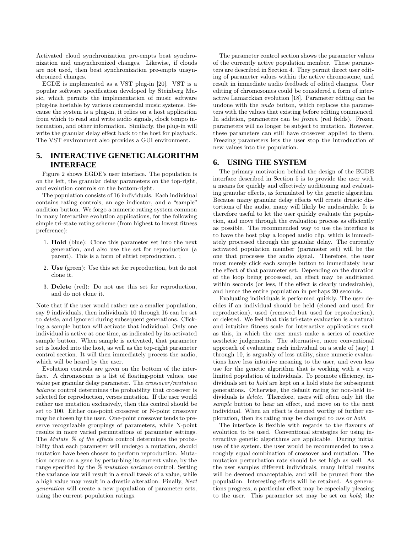Activated cloud synchronization pre-empts beat synchronization and unsynchronized changes. Likewise, if clouds are not used, then beat synchronization pre-empts unsynchronized changes.

EGDE is implemented as a VST plug-in [20]. VST is a popular software specification developed by Steinberg Music, which permits the implementation of music software plug-ins hostable by various commercial music systems. Because the system is a plug-in, it relies on a host application from which to read and write audio signals, clock tempo information, and other information. Similarly, the plug-in will write the granular delay effect back to the host for playback. The VST environment also provides a GUI environment.

#### **5. INTERACTIVE GENETIC ALGORITHM INTERFACE**

Figure 2 shows EGDE's user interface. The population is on the left, the granular delay parameters on the top-right, and evolution controls on the bottom-right.

The population consists of 16 individuals. Each individual contains rating controls, an age indicator, and a "sample" audition button. We forgo a numeric rating system common in many interactive evolution applications, for the following simple tri-state rating scheme (from highest to lowest fitness preference):

- 1. Hold (blue): Clone this parameter set into the next generation, and also use the set for reproduction (a parent). This is a form of elitist reproduction. ;
- 2. Use (green): Use this set for reproduction, but do not clone it.
- 3. Delete (red): Do not use this set for reproduction, and do not clone it.

Note that if the user would rather use a smaller population, say 9 individuals, then individuals 10 through 16 can be set to delete, and ignored during subsequent generations. Clicking a sample button will activate that individual. Only one individual is active at one time, as indicated by its activated sample button. When sample is activated, that parameter set is loaded into the host, as well as the top-right parameter control section. It will then immediately process the audio, which will be heard by the user.

Evolution controls are given on the bottom of the interface. A chromosome is a list of floating-point values, one value per granular delay parameter. The crossover/mutation balance control determines the probability that crossover is selected for reproduction, verses mutation. If the user would rather use mutation exclusively, then this control should be set to 100. Either one-point crossover or N-point crossover may be chosen by the user. One-point crossover tends to preserve recognizable groupings of parameters, while N-point results in more varied permutations of parameter settings. The Mutate % of the effects control determines the probability that each parameter will undergo a mutation, should mutation have been chosen to perform reproduction. Mutation occurs on a gene by perturbing its current value, by the range specified by the % mutation variance control. Setting the variance low will result in a small tweak of a value, while a high value may result in a drastic alteration. Finally, Next generation will create a new population of parameter sets, using the current population ratings.

The parameter control section shows the parameter values of the currently active population member. These parameters are described in Section 4. They permit direct user editing of parameter values within the active chromosome, and result in immediate audio feedback of edited changes. User editing of chromosomes could be considered a form of interactive Lamarckian evolution [18]. Parameter editing can be undone with the *undo* button, which replaces the parameters with the values that existing before editing commenced. In addition, parameters can be frozen (red fields). Frozen parameters will no longer be subject to mutation. However, these parameters can still have crossover applied to them. Freezing parameters lets the user stop the introduction of new values into the population.

#### **6. USING THE SYSTEM**

The primary motivation behind the design of the EGDE interface described in Section 5 is to provide the user with a means for quickly and effectively auditioning and evaluating granular effects, as formulated by the genetic algorithm. Because many granular delay effects will create drastic distortions of the audio, many will likely be undesirable. It is therefore useful to let the user quickly evaluate the population, and move through the evaluation process as efficiently as possible. The recommended way to use the interface is to have the host play a looped audio clip, which is immediately processed through the granular delay. The currently activated population member (parameter set) will be the one that processes the audio signal. Therefore, the user must merely click each sample button to immediately hear the effect of that parameter set. Depending on the duration of the loop being processed, an effect may be auditioned within seconds (or less, if the effect is clearly undesirable), and hence the entire population in perhaps 20 seconds.

Evaluating individuals is performed quickly. The user decides if an individual should be held (cloned and used for reproduction), used (removed but used for reproduction), or deleted. We feel that this tri-state evaluation is a natural and intuitive fitness scale for interactive applications such as this, in which the user must make a series of reactive aesthetic judgements. The alternative, more conventional approach of evaluating each individual on a scale of (say) 1 through 10, is arguably of less utility, since numeric evaluations have less intuitive meaning to the user, and even less use for the genetic algorithm that is working with a very limited population of individuals. To promote efficiency, individuals set to hold are kept on a hold state for subsequent generations. Otherwise, the default rating for non-held individuals is delete. Therefore, users will often only hit the sample button to hear an effect, and move on to the next individual. When an effect is deemed worthy of further exploration, then its rating may be changed to use or hold.

The interface is flexible with regards to the flavours of evolution to be used. Conventional strategies for using interactive genetic algorithms are applicable. During initial use of the system, the user would be recommended to use a roughly equal combination of crossover and mutation. The mutation perturbation rate should be set high as well. As the user samples different individuals, many initial results will be deemed unacceptable, and will be pruned from the population. Interesting effects will be retained. As generations progress, a particular effect may be especially pleasing to the user. This parameter set may be set on hold; the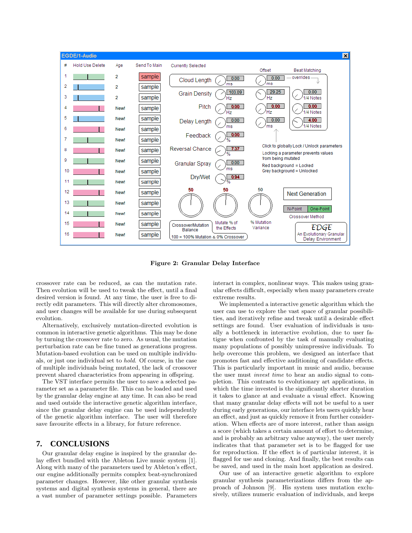

Figure 2: Granular Delay Interface

crossover rate can be reduced, as can the mutation rate. Then evolution will be used to tweak the effect, until a final desired version is found. At any time, the user is free to directly edit parameters. This will directly alter chromosomes, and user changes will be available for use during subsequent evolution.

Alternatively, exclusively mutation-directed evolution is common in interactive genetic algorithms. This may be done by turning the crossover rate to zero. As usual, the mutation perturbation rate can be fine tuned as generations progress. Mutation-based evolution can be used on multiple individuals, or just one individual set to hold. Of course, in the case of multiple individuals being mutated, the lack of crossover prevent shared characteristics from appearing in offspring.

The VST interface permits the user to save a selected parameter set as a parameter file. This can be loaded and used by the granular delay engine at any time. It can also be read and used outside the interactive genetic algorithm interface, since the granular delay engine can be used independently of the genetic algorithm interface. The user will therefore save favourite effects in a library, for future reference.

#### **7. CONCLUSIONS**

Our granular delay engine is inspired by the granular delay effect bundled with the Ableton Live music system [1]. Along with many of the parameters used by Ableton's effect, our engine additionally permits complex beat-synchronized parameter changes. However, like other granular synthesis systems and digital synthesis systems in general, there are a vast number of parameter settings possible. Parameters

interact in complex, nonlinear ways. This makes using granular effects difficult, especially when many parameters create extreme results.

We implemented a interactive genetic algorithm which the user can use to explore the vast space of granular possibilities, and iteratively refine and tweak until a desirable effect settings are found. User evaluation of individuals is usually a bottleneck in interactive evolution, due to user fatigue when confronted by the task of manually evaluating many populations of possibly unimpressive individuals. To help overcome this problem, we designed an interface that promotes fast and effective auditioning of candidate effects. This is particularly important in music and audio, because the user must invest time to hear an audio signal to completion. This contrasts to evolutionary art applications, in which the time invested is the significantly shorter duration it takes to glance at and evaluate a visual effect. Knowing that many granular delay effects will not be useful to a user during early generations, our interface lets users quickly hear an effect, and just as quickly remove it from further consideration. When effects are of more interest, rather than assign a score (which takes a certain amount of effort to determine, and is probably an arbitrary value anyway), the user merely indicates that that parameter set is to be flagged for use for reproduction. If the effect is of particular interest, it is flagged for use and cloning. And finally, the best results can be saved, and used in the main host application as desired.

Our use of an interactive genetic algorithm to explore granular synthesis parameterizations differs from the approach of Johnson [9]. His system uses mutation exclusively, utilizes numeric evaluation of individuals, and keeps